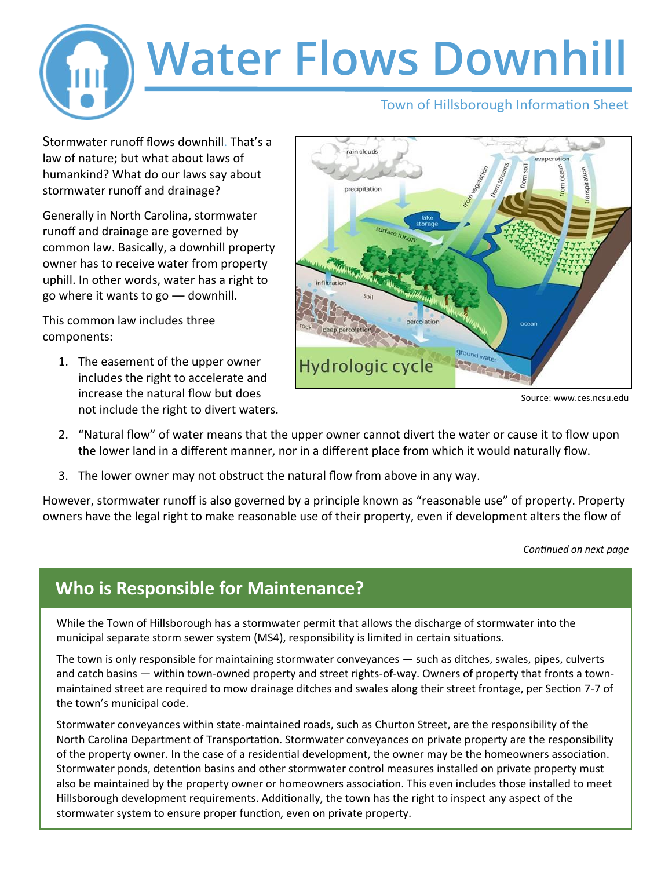

Stormwater runoff flows downhill. That's a law of nature; but what about laws of humankind? What do our laws say about stormwater runoff and drainage?

Generally in North Carolina, stormwater runoff and drainage are governed by common law. Basically, a downhill property owner has to receive water from property uphill. In other words, water has a right to go where it wants to go ― downhill.

This common law includes three components:

1. The easement of the upper owner includes the right to accelerate and increase the natural flow but does not include the right to divert waters.



2. "Natural flow" of water means that the upper owner cannot divert the water or cause it to flow upon the lower land in a different manner, nor in a different place from which it would naturally flow.

Hydrologic cycle

3. The lower owner may not obstruct the natural flow from above in any way.

However, stormwater runoff is also governed by a principle known as "reasonable use" of property. Property owners have the legal right to make reasonable use of their property, even if development alters the flow of

*Continued on next page*

## **Who is Responsible for Maintenance?**

While the Town of Hillsborough has a stormwater permit that allows the discharge of stormwater into the municipal separate storm sewer system (MS4), responsibility is limited in certain situations.

The town is only responsible for maintaining stormwater conveyances ― such as ditches, swales, pipes, culverts and catch basins ― within town-owned property and street rights-of-way. Owners of property that fronts a townmaintained street are required to mow drainage ditches and swales along their street frontage, per Section 7-7 of the town's municipal code.

Stormwater conveyances within state-maintained roads, such as Churton Street, are the responsibility of the North Carolina Department of Transportation. Stormwater conveyances on private property are the responsibility of the property owner. In the case of a residential development, the owner may be the homeowners association. Stormwater ponds, detention basins and other stormwater control measures installed on private property must also be maintained by the property owner or homeowners association. This even includes those installed to meet Hillsborough development requirements. Additionally, the town has the right to inspect any aspect of the stormwater system to ensure proper function, even on private property.

Source: www.ces.ncsu.edu